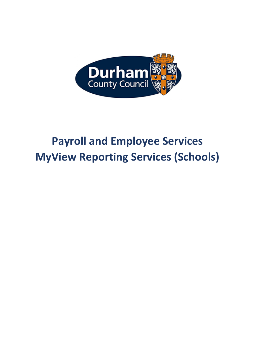

# **Payroll and Employee Services MyView Reporting Services (Schools)**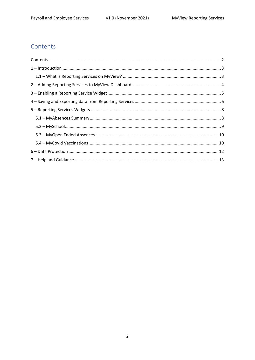## <span id="page-1-0"></span>Contents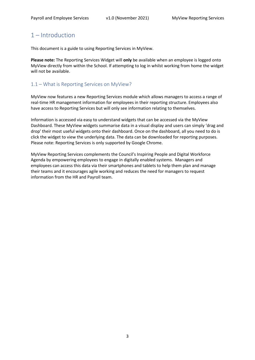## <span id="page-2-0"></span>1 – Introduction

This document is a guide to using Reporting Services in MyView.

**Please note:** The Reporting Services Widget will **only** be available when an employee is logged onto MyView directly from within the School. If attempting to log in whilst working from home the widget will not be available.

#### <span id="page-2-1"></span>1.1 – What is Reporting Services on MyView?

MyView now features a new Reporting Services module which allows managers to access a range of real-time HR management information for employees in their reporting structure. Employees also have access to Reporting Services but will only see information relating to themselves.

Information is accessed via easy to understand widgets that can be accessed via the MyView Dashboard. These MyView widgets summarise data in a visual display and users can simply 'drag and drop' their most useful widgets onto their dashboard. Once on the dashboard, all you need to do is click the widget to view the underlying data. The data can be downloaded for reporting purposes. Please note: Reporting Services is only supported by Google Chrome.

MyView Reporting Services complements the Council's Inspiring People and Digital Workforce Agenda by empowering employees to engage in digitally enabled systems. Managers and employees can access this data via their smartphones and tablets to help them plan and manage their teams and it encourages agile working and reduces the need for managers to request information from the HR and Payroll team.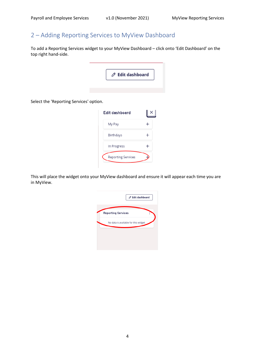## <span id="page-3-0"></span>2 – Adding Reporting Services to MyView Dashboard

To add a Reporting Services widget to your MyView Dashboard – click onto 'Edit Dashboard' on the top right hand-side.



Select the 'Reporting Services' option.

| Edit dashboard            |  |
|---------------------------|--|
| My Pay                    |  |
| <b>Birthdays</b>          |  |
| In Progress               |  |
| <b>Reporting Services</b> |  |

This will place the widget onto your MyView dashboard and ensure it will appear each time you are in MyView.

| <b>Reporting Services</b><br>Í        |
|---------------------------------------|
|                                       |
| No data is available for this widget. |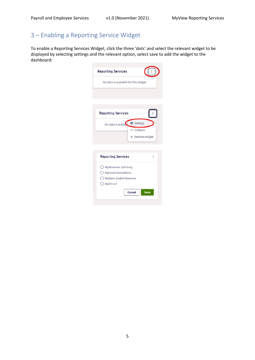# <span id="page-4-0"></span>3 – Enabling a Reporting Service Widget

To enable a Reporting Services Widget, click the three 'dots' and select the relevant widget to be displayed by selecting settings and the relevant option, select save to add the widget to the dashboard:

| <b>Reporting Services</b>                                                               |                                                           |
|-----------------------------------------------------------------------------------------|-----------------------------------------------------------|
| No data is available for this widget.                                                   |                                                           |
| <b>Reporting Services</b>                                                               |                                                           |
| No data is availa                                                                       | <b>@ Settings</b><br>$\wedge$ Collapse<br>X Remove widget |
| <b>Reporting Services</b>                                                               | Ì                                                         |
| ◯ MyAbsences Summary<br>◯ MyCovid Vaccinations<br>◯ MyOpen Ended Absences<br>◯ MySchool |                                                           |
|                                                                                         | Cancel<br>Save                                            |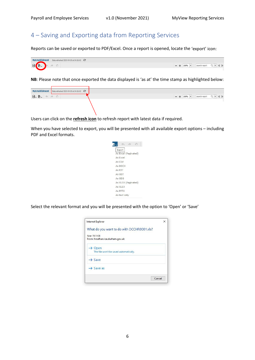## <span id="page-5-0"></span>4 – Saving and Exporting data from Reporting Services

Reports can be saved or exported to PDF/Excel. Once a report is opened, locate the 'export' icon:

| <b>MvEstablishment</b> | Data refreshed 2020-04-30 at 14:26:02 |      |               |  |
|------------------------|---------------------------------------|------|---------------|--|
| $\Box$                 |                                       | 100% | search report |  |

**NB**: Please note that once exported the data displayed is 'as at' the time stamp as highlighted below:

| MyEstablishment Data refreshed 2020-04-30 at 14:26:02 (4)<br>$-$ + 100% + search report $Q \mid \cdot \mid$ + $\mid \cdot \mid$<br>$B. B. \land \land \circ$ |
|--------------------------------------------------------------------------------------------------------------------------------------------------------------|
|                                                                                                                                                              |
|                                                                                                                                                              |

Users can click on the **refresh icon** to refresh report with latest data if required.

When you have selected to export, you will be presented with all available export options – including PDF and Excel formats.



Select the relevant format and you will be presented with the option to 'Open' or 'Save'

| Internet Explorer                          | ×                  |
|--------------------------------------------|--------------------|
| What do you want to do with DCCHR0001.xls? |                    |
| Size: 15.5 KB                              |                    |
| From: hrselfservice.durham.gov.uk          |                    |
|                                            |                    |
| The file won't be saved automatically.     |                    |
| $\rightarrow$ Save                         |                    |
| $\rightarrow$ Save as                      |                    |
|                                            | Cancel             |
|                                            | $\rightarrow$ Open |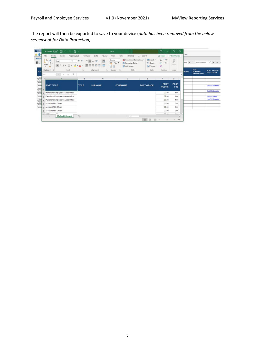The report will then be exported to save to your device (*data has been removed from the below screenshot for Data Protection)*

| <b>M</b> Dash<br>山田            | 圖<br>AutoSave ( Or)<br>ゆくの 乱っ<br>File<br>Home<br>Page Layout<br>Insert                                  | Formulas    | Data<br>Review                                          | Excel<br>View<br>Help<br>Nitro Pro                                                                                                                                                                                                                                                                                                                                                                                                            | O Search                            | œ<br><i>in</i> Share                                              | $\times$<br>$\Box$<br>C Comments | <b>ITime</b>               |                                                     |                                         |
|--------------------------------|---------------------------------------------------------------------------------------------------------|-------------|---------------------------------------------------------|-----------------------------------------------------------------------------------------------------------------------------------------------------------------------------------------------------------------------------------------------------------------------------------------------------------------------------------------------------------------------------------------------------------------------------------------------|-------------------------------------|-------------------------------------------------------------------|----------------------------------|----------------------------|-----------------------------------------------------|-----------------------------------------|
| MyEst<br>日.                    | Ĥ.<br>$*11 - A A$<br><b>A</b><br>Arial<br>œ<br>Paste<br>$\Box \cdot \circ \cdot A$ .<br>B<br>$U$ .<br>ತ | 프           | $\Xi \equiv \pm \nu$ .<br>悲<br>国。<br>≣<br>温<br>$-24.41$ | Conditional Formatting v<br>General<br>Format as Table *<br>图 - % 9<br>Cell Styles -<br>58 48                                                                                                                                                                                                                                                                                                                                                 | Ellinsert v<br>Delete *<br>Fermat - | $\Sigma$ - $50 -$<br>$\Box$ - $\Omega$ -<br>$\hat{\mathcal{O}}$ . | $\phi$<br>Ideas                  | 00%<br>$\scriptstyle\rm w$ | search report                                       | $Q + 4$                                 |
| POS                            | Clipboard Fa<br>Font<br>Se<br>×<br>AI<br>$\infty$<br>×                                                  | $\sqrt{2}$  | Alignment<br>$r_{\rm e}$                                | Styles<br>Number<br>$\sqrt{2}$                                                                                                                                                                                                                                                                                                                                                                                                                | Cells                               | Editing                                                           | Ideas<br>A                       | <b>NDING</b>               | <b>POST</b><br><b>FUNDING</b><br><b>EXPIRY DATE</b> | <b>POST VACANT</b><br><b>FTE STATUS</b> |
| Payro<br>Payer                 | A                                                                                                       | B           |                                                         | D                                                                                                                                                                                                                                                                                                                                                                                                                                             | E                                   |                                                                   | G<br>i di                        |                            |                                                     |                                         |
| Payro<br>Assist<br>Assist      | POST TITLE                                                                                              | TITLE       | <b>SURNAME</b>                                          | <b>FORENAME</b>                                                                                                                                                                                                                                                                                                                                                                                                                               | <b>POST GRADE</b>                   | POST<br><b>HOURS</b>                                              | <b>POST</b><br><b>FTE</b>        |                            |                                                     | <b>Post FTE Exceeded</b>                |
| Assis<br>$\overline{2}$<br>PES | Payroll and Employee Services Officer                                                                   |             |                                                         |                                                                                                                                                                                                                                                                                                                                                                                                                                               |                                     | 37.00                                                             | 1.00                             |                            |                                                     | <b>Post FTE Exceeded</b>                |
| PES                            | Payroli and Employee Services Officer                                                                   |             |                                                         |                                                                                                                                                                                                                                                                                                                                                                                                                                               |                                     | 37.00                                                             | 1.00                             |                            |                                                     | <b>Post FTE Vacant</b>                  |
| PES<br>$\overline{4}$          | Payroll and Employee Services Officer                                                                   |             |                                                         |                                                                                                                                                                                                                                                                                                                                                                                                                                               |                                     | 37.00                                                             | 1.00                             |                            |                                                     | <b>Post FTE Exceeded</b>                |
| PES<br>6<br>PES                | Assistant PES Officer                                                                                   |             |                                                         |                                                                                                                                                                                                                                                                                                                                                                                                                                               |                                     | 22.00                                                             | 0.59                             |                            |                                                     |                                         |
| PES<br>6                       | Assistant PES Officer                                                                                   |             |                                                         |                                                                                                                                                                                                                                                                                                                                                                                                                                               |                                     | 37.00                                                             | 1.00                             |                            |                                                     |                                         |
| $\mathcal{F}$                  | Assistant PES Officer                                                                                   |             |                                                         |                                                                                                                                                                                                                                                                                                                                                                                                                                               |                                     | 22.00                                                             | 0.59                             |                            |                                                     |                                         |
|                                | <b>DCO Quennet Cillings</b><br>MyEstablishment<br>4.0 8.                                                | $\circledR$ |                                                         | $\left[ \begin{array}{c c} 1 & \mathbf{1} \\ \mathbf{1} & \mathbf{1} \\ \mathbf{1} & \mathbf{1} \\ \mathbf{1} & \mathbf{1} \\ \mathbf{1} & \mathbf{1} \\ \mathbf{1} & \mathbf{1} \\ \mathbf{1} & \mathbf{1} \\ \mathbf{1} & \mathbf{1} \\ \mathbf{1} & \mathbf{1} \\ \mathbf{1} & \mathbf{1} \\ \mathbf{1} & \mathbf{1} \\ \mathbf{1} & \mathbf{1} \\ \mathbf{1} & \mathbf{1} \\ \mathbf{1} & \mathbf{1} \\ \mathbf{1} & \mathbf{1} \\ \math$ |                                     | 27.00                                                             | l w<br>4.80.<br>×                |                            |                                                     |                                         |
|                                |                                                                                                         |             |                                                         |                                                                                                                                                                                                                                                                                                                                                                                                                                               | 00<br>                              | 凹                                                                 | 100%                             |                            |                                                     |                                         |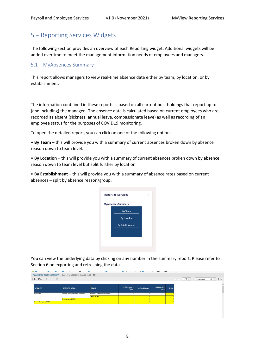## <span id="page-7-0"></span>5 – Reporting Services Widgets

The following section provides an overview of each Reporting widget. Additional widgets will be added overtime to meet the management information needs of employees and managers.

#### <span id="page-7-1"></span>5.1 – MyAbsences Summary

This report allows managers to view real-time absence data either by team, by location, or by establishment.

The information contained in these reports is based on all current post holdings that report up to (and including) the manager. The absence data is calculated based on current employees who are recorded as absent (sickness, annual leave, compassionate leave) as well as recording of an employee status for the purposes of COVID19 monitoring.

To open the detailed report, you can click on one of the following options:

• **By Team** – this will provide you with a summary of current absences broken down by absence reason down to team level.

• **By Location** – this will provide you with a summary of current absences broken down by absence reason down to team level but split further by location.

• **By Establishment** – this will provide you with a summary of absence rates based on current absences – split by absence reason/group.



You can view the underlying data by clicking on any number in the summary report. Please refer to Section 6 on exporting and refreshing the data.

| <b>MyAbsence Team Summary</b>                                                    | Data refreshed 2020-05-01 at 16:41:04       |                             |                         |                 |                        |              |                          |               |           |
|----------------------------------------------------------------------------------|---------------------------------------------|-----------------------------|-------------------------|-----------------|------------------------|--------------|--------------------------|---------------|-----------|
| $\mathbf{B} \cdot \mathbf{B} \cdot \mathbf{A} \cdot \mathbf{A} \cdot \mathbf{B}$ |                                             |                             |                         |                 |                        |              | $100\%$ $\star$<br>$- +$ | search report | $Q + 4 P$ |
|                                                                                  |                                             |                             |                         |                 |                        |              |                          |               |           |
| <b>SERVICE</b>                                                                   | <b>SERVICE AREA</b>                         | <b>TEAM</b>                 | 12. Sickness -<br>Other | 14. Flexi Leave | 15. Maternity<br>Leave | <b>Total</b> |                          |               |           |
| <b>Resources</b>                                                                 | <b>Finance &amp; Transactional Services</b> | Payroll & Employee Services |                         |                 |                        |              |                          |               |           |
|                                                                                  |                                             | <b>Team TOTAL</b>           |                         |                 |                        |              |                          |               |           |
|                                                                                  | <b>Service Area TOTAL</b>                   |                             |                         |                 |                        |              |                          |               |           |
| <b>Service Grouping TOTAL</b>                                                    |                                             |                             |                         |                 |                        |              |                          |               |           |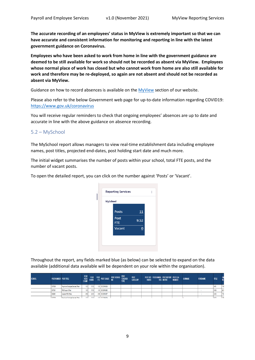**The accurate recording of an employees' status in MyView is extremely important so that we can have accurate and consistent information for monitoring and reporting in line with the latest government guidance on Coronavirus.**

**Employees who have been asked to work from home in line with the government guidance are deemed to be still available for work so should not be recorded as absent via MyView. Employees whose normal place of work has closed but who cannot work from home are also still available for work and therefore may be re-deployed, so again are not absent and should not be recorded as absent via MyView.**

Guidance on how to record absences is available on the [MyView](http://www.durham.gov.uk/myview) section of our website.

Please also refer to the below Government web page for up-to-date information regarding COVID19: <https://www.gov.uk/coronavirus>

You will receive regular reminders to check that ongoing employees' absences are up to date and accurate in line with the above guidance on absence recording.

#### <span id="page-8-0"></span>5.2 – MySchool

The MySchool report allows managers to view real-time establishment data including employee names, post titles, projected end-dates, post holding start date and much more.

The initial widget summarises the number of posts within your school, total FTE posts, and the number of vacant posts.

To open the detailed report, you can click on the number against 'Posts' or 'Vacant'.



Throughout the report, any fields marked blue (as below) can be selected to expand on the data available (additional data available will be dependent on your role within the organisation).

| <b>SCHOOL</b> | <b>POST NUMBER POST TITLE</b> |                                       | <b>POST</b><br><b>HEAD</b><br>COUNT | <b>POST</b><br><b>HOURS</b> | <b>POST</b><br><b>FTE</b> | <b>POST GRADE</b> | <b>POST SCHOOL</b> | <b>POST</b><br><b>TEACHER</b><br><b>TYPE</b> | <b>POST</b><br><b>CATEGORY</b> | <b>HOURS</b> | POST STD POST ANNUAL POST REPORT POST LEA<br><b>HRS ON TAR</b> | <b>NUMBER</b> | <b>SURNAME</b> | <b>FORENAME</b> | <b>TITLE</b> |       |
|---------------|-------------------------------|---------------------------------------|-------------------------------------|-----------------------------|---------------------------|-------------------|--------------------|----------------------------------------------|--------------------------------|--------------|----------------------------------------------------------------|---------------|----------------|-----------------|--------------|-------|
|               | 0075255                       | Payroll and Employee Services Officer | 1.00                                | 37.00                       |                           | 1.00 DCCGRADE9    |                    |                                              |                                |              |                                                                |               |                |                 | <b>MRS</b>   | 776   |
|               | 0075301                       | <b>PES Support Officer</b>            | 1.00                                | 37.00                       |                           | 1.00 DCCGRADE5    |                    |                                              |                                |              |                                                                |               |                |                 | wss          | 881   |
|               | 0088951                       | Assistant PES Officer                 | 0.59                                | 22.00                       |                           | 0.59 DCCGRADE7    |                    |                                              |                                |              |                                                                |               |                |                 | <b>MISS</b>  | 716   |
|               | 0076265                       | Paumi and Freelouse Renings Officer   | s nn                                | 27.00                       |                           | 100 DODRADES      |                    |                                              |                                |              |                                                                |               |                |                 | <b>Luce</b>  | l 77A |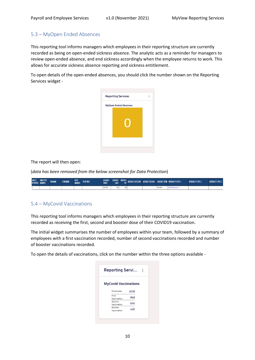#### <span id="page-9-0"></span>5.3 – MyOpen Ended Absences

This reporting tool informs managers which employees in their reporting structure are currently recorded as being on open-ended sickness absence. The analytic acts as a reminder for managers to review open-ended absence, and end sickness accordingly when the employee returns to work. This allows for accurate sickness absence reporting and sickness entitlement.

To open details of the open-ended absences, you should click the number shown on the Reporting Services widget -



#### The report will then open:

(*data has been removed from the below screenshot for Data Protection*)

| <b>REPORTEE NUMBER</b> | DIRECT EMPLOYEE SURNAME | <b>FORENAME</b> | <b>POST</b> | <b>POST TITLE</b> |            |  | ABSENCE ABSENCE ABSENCE ABSENCE CATEGORY ABSENCE REASON ABSENCE TERM HIERARCHY LEVEL 1<br>START DAYS FTE POSSENCE CATEGORY ABSENCE REASON ABSENCE TERM HIERARCHY LEVEL 1 |            |                     | <b>HIERARCHY LEVEL 2</b> | <b>HIERARCHY LEVEL 3</b> |
|------------------------|-------------------------|-----------------|-------------|-------------------|------------|--|--------------------------------------------------------------------------------------------------------------------------------------------------------------------------|------------|---------------------|--------------------------|--------------------------|
|                        |                         |                 |             |                   | 29/11/2021 |  |                                                                                                                                                                          | Short Term | Chief Executive (1) |                          |                          |

#### <span id="page-9-1"></span>5.4 – MyCovid Vaccinations

This reporting tool informs managers which employees in their reporting structure are currently recorded as receiving the first, second and booster dose of their COVID19 vaccination.

The initial widget summarises the number of employees within your team, followed by a summary of employees with a first vaccination recorded, number of second vaccinations recorded and number of booster vaccinations recorded.

To open the details of vaccinations, click on the number within the three options available -

|                             | Reporting Servi |  |
|-----------------------------|-----------------|--|
| <b>MyCovid Vaccinations</b> |                 |  |
| Employees                   | 15728           |  |
| First<br>Vaccination        |                 |  |
| Second<br>Vaccination       | 8747            |  |
| Ronster<br>Vaccination      | 1187            |  |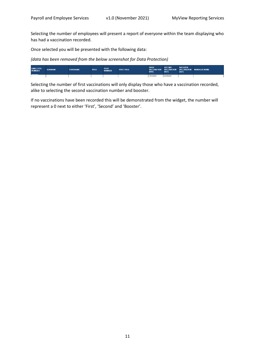Selecting the number of employees will present a report of everyone within the team displaying who has had a vaccination recorded.

Once selected you will be presented with the following data:

*(data has been removed from the below screenshot for Data Protection)* 

| <b>EMPLOYEE</b><br>NUMBER | <b>SURNAME</b> | <b>FORENAME</b> | TITLE | <b>POST</b><br><b>NUMBER</b> | <b>POST TITLE</b> | <b>FIRST</b><br><b>DATE</b> | <b>SECOND</b><br>DATE | <b>BOOSTER</b><br><b>DATE</b> | <b>VACCINATION VACCINATION VACCINATION MANAGER NAME</b> |
|---------------------------|----------------|-----------------|-------|------------------------------|-------------------|-----------------------------|-----------------------|-------------------------------|---------------------------------------------------------|
|                           |                |                 |       |                              |                   | 15/04/2021                  | 22/06/2021            |                               |                                                         |

Selecting the number of first vaccinations will only display those who have a vaccination recorded, alike to selecting the second vaccination number and booster.

If no vaccinations have been recorded this will be demonstrated from the widget, the number will represent a 0 next to either 'First', 'Second' and 'Booster'.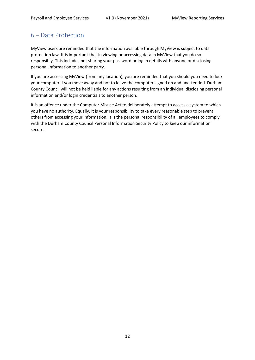## <span id="page-11-0"></span>6 – Data Protection

MyView users are reminded that the information available through MyView is subject to data protection law. It is important that in viewing or accessing data in MyView that you do so responsibly. This includes not sharing your password or log in details with anyone or disclosing personal information to another party.

If you are accessing MyView (from any location), you are reminded that you should you need to lock your computer if you move away and not to leave the computer signed on and unattended. Durham County Council will not be held liable for any actions resulting from an individual disclosing personal information and/or login credentials to another person.

It is an offence under the Computer Misuse Act to deliberately attempt to access a system to which you have no authority. Equally, it is your responsibility to take every reasonable step to prevent others from accessing your information. It is the personal responsibility of all employees to comply with the Durham County Council Personal Information Security Policy to keep our information secure.